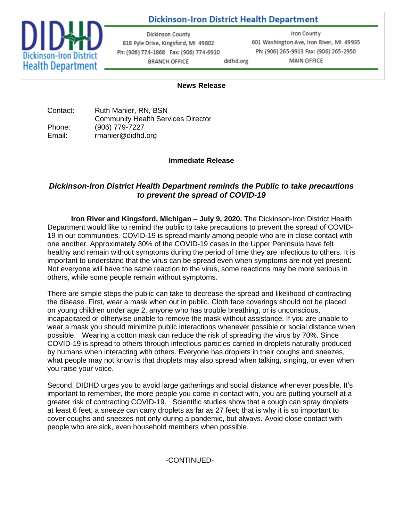# **Dickinson-Iron District Health Department**



**Dickinson County** 818 Pyle Drive, Kingsford, MI 49802 Ph: (906) 774-1868 Fax: (906) 774-9910 **BRANCH OFFICE** didhd.org

**Iron County** 601 Washington Ave, Iron River, MI 49935 Ph: (906) 265-9913 Fax: (906) 265-2950 **MAIN OFFICE** 

#### **News Release**

| Contact: | Ruth Manier, RN, BSN                      |
|----------|-------------------------------------------|
|          | <b>Community Health Services Director</b> |
| Phone:   | (906) 779-7227                            |
| Email:   | rmanier@didhd.org                         |

#### **Immediate Release**

## *Dickinson-Iron District Health Department reminds the Public to take precautions to prevent the spread of COVID-19*

**Iron River and Kingsford, Michigan – July 9, 2020.** The Dickinson-Iron District Health Department would like to remind the public to take precautions to prevent the spread of COVID-19 in our communities. COVID-19 is spread mainly among people who are in close contact with one another. Approximately 30% of the COVID-19 cases in the Upper Peninsula have felt healthy and remain without symptoms during the period of time they are infectious to others. It is important to understand that the virus can be spread even when symptoms are not yet present. Not everyone will have the same reaction to the virus, some reactions may be more serious in others, while some people remain without symptoms.

There are simple steps the public can take to decrease the spread and likelihood of contracting the disease. First, wear a mask when out in public. Cloth face coverings should not be placed on young children under age 2, anyone who has trouble breathing, or is unconscious, incapacitated or otherwise unable to remove the mask without assistance. If you are unable to wear a mask you should minimize public interactions whenever possible or social distance when possible. Wearing a cotton mask can reduce the risk of spreading the virus by 70%. Since COVID-19 is spread to others through infectious particles carried in droplets naturally produced by humans when interacting with others. Everyone has droplets in their coughs and sneezes, what people may not know is that droplets may also spread when talking, singing, or even when you raise your voice.

Second, DIDHD urges you to avoid large gatherings and social distance whenever possible. It's important to remember, the more people you come in contact with, you are putting yourself at a greater risk of contracting COVID-19. Scientific studies show that a cough can spray droplets at least 6 feet; a sneeze can carry droplets as far as 27 feet; that is why it is so important to cover coughs and sneezes not only during a pandemic, but always. Avoid close contact with people who are sick, even household members when possible.

### -CONTINUED-